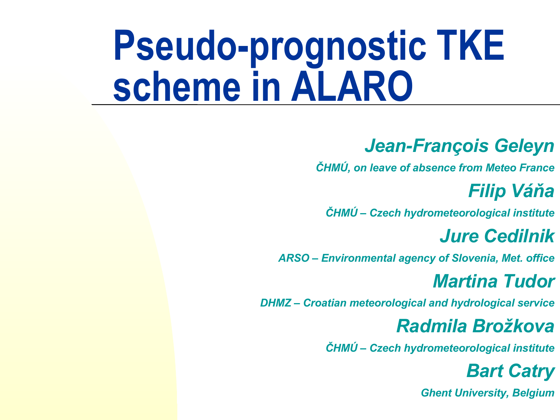# **Pseudo-prognostic TKE scheme in ALARO**

#### *Jean-François Geleyn*

*ČHMÚ, on leave of absence from Meteo France*

#### *Filip Váňa*

*ČHMÚ – Czech hydrometeorological institute*

#### *Jure Cedilnik*

*ARSO – Environmental agency of Slovenia, Met. office*

#### *Martina Tudor*

*DHMZ – Croatian meteorological and hydrological service*

#### *Radmila Brožkova*

*ČHMÚ – Czech hydrometeorological institute*

#### *Bart Catry*

*Ghent University, Belgium*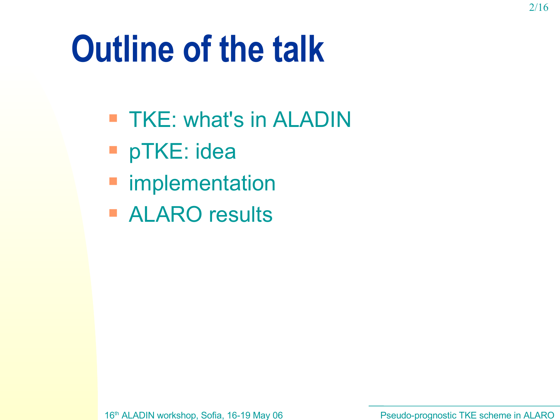### **Outline of the talk**

- TKE: what's in ALADIN
- pTKE: idea
- **F** implementation
- **ALARO results**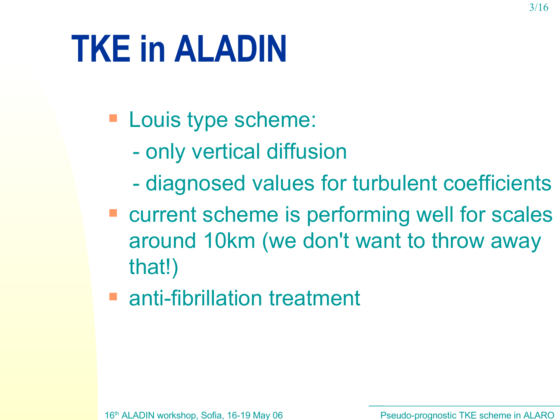# **TKE in ALADIN**

- **Louis type scheme:** 
	- only vertical diffusion
	- diagnosed values for turbulent coefficients
- current scheme is performing well for scales around 10km (we don't want to throw away that!)
- anti-fibrillation treatment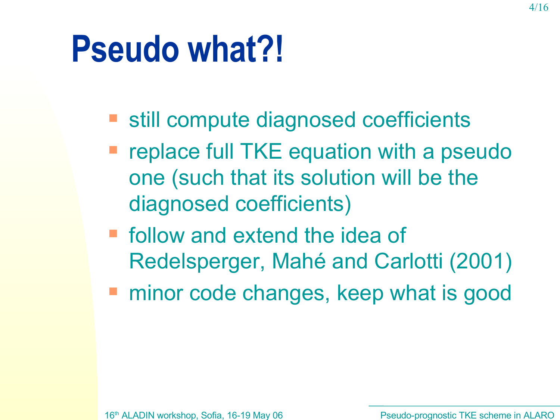#### **Pseudo what?!**

- still compute diagnosed coefficients
- replace full TKE equation with a pseudo one (such that its solution will be the diagnosed coefficients)
- **F** follow and extend the idea of Redelsperger, Mahé and Carlotti (2001)
- **number 20 and 20 and 20 and 20 and 20 and 20 and 20 and 20 and 20 and 20 and 20 and 20 and 20 and 20 and 20 and 20 and 20 and 20 and 20 and 20 and 20 and 20 and 20 and 20 and 20 and 20 and 20 and 20 and 20 and 20 and 20 a**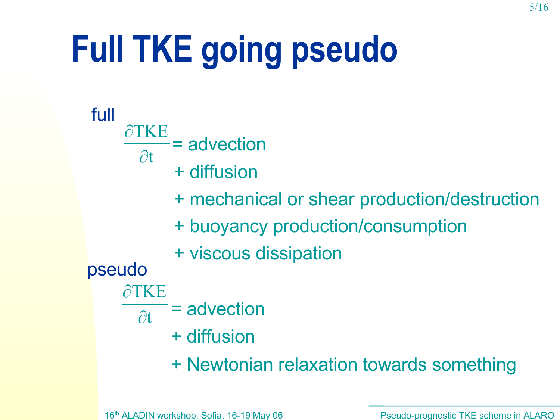# **Full TKE going pseudo**

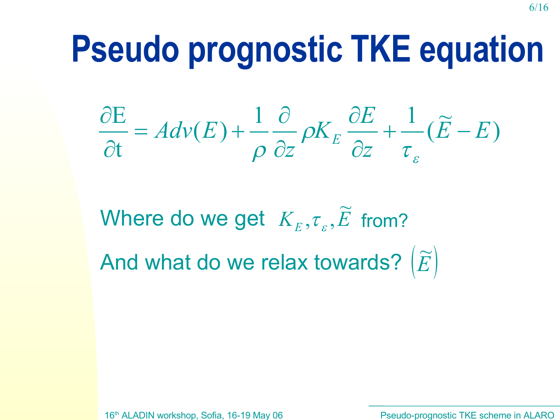#### **Pseudo prognostic TKE equation**

)  $\widetilde{\bm{\Sigma}}$ (  $1 \partial$   $K \partial E$  1  $(E)$ t E  $\widetilde{E}-E$ *z E K z*  $Adv(E) + \frac{1}{2} \frac{C}{2} \rho K_E \frac{CL}{2} + \frac{1}{2} (E \partial$  $\partial$  $\partial$  $\partial$  $= Adv(E)+$  $\partial$  $\partial$  $\pmb{\mathcal{E}}$  $\tau$  $\rho$  $\rho$ 

Where do we get  $K_{\scriptscriptstyle E}^{},\tau_{\scriptscriptstyle \varepsilon}^{},\widetilde{E}$  $\widetilde{\bm{\pi}}$  $\sigma_{\varepsilon},\bar{E}$  from? And what do we relax towards?  $|\widetilde{E}|$  $\widetilde{\bm{\Pi}}$ 

16th ALADIN workshop, Sofia, 16-19 May 06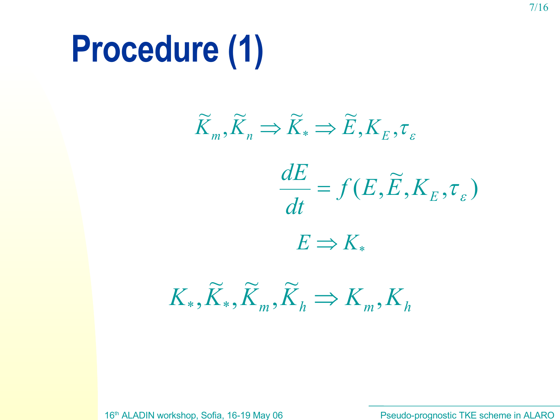# **Procedure (1)**

 $K_*,\tilde{K}_*,\tilde{K}_m,\tilde{K}_h\Rightarrow K_m,K_h$  $\widetilde{\boldsymbol{\nu}}$ ,  $\widetilde{\boldsymbol{\nu}}$ ,  $\widetilde{\boldsymbol{\nu}}$  $,K_*,\tilde{K}_m,\tilde{K}_h\Rightarrow$  $\overline{X_{_E},\tau_{_E}})$  $\widetilde{\bm{\Pi}}$  $f(E,\widetilde{E},K_{\overline{E}},\overline{\tau}_{\varepsilon})$ *dt dE* =  $E \Rightarrow K_*$  $, K_{_E}, \tau_{_E}$  $\widetilde{V} \longrightarrow \widetilde{V} \longrightarrow \widetilde{F}$ ,  $\widetilde{\widetilde{\boldsymbol{\nu}}}$  $\widetilde{K}_m, \widetilde{K}_n \Rightarrow \widetilde{K}_* \Rightarrow \widetilde{E}, K_E$ 

16th ALADIN workshop, Sofia, 16-19 May 06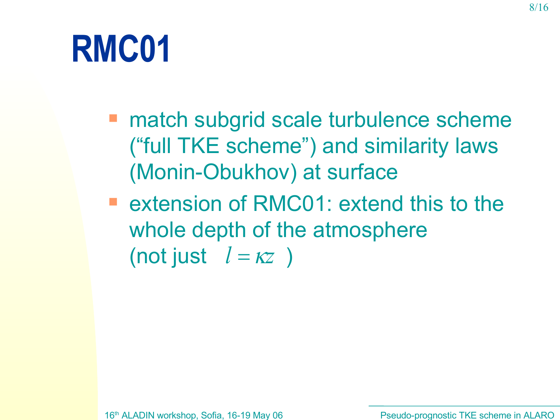### **RMC01**

- match subgrid scale turbulence scheme ("full TKE scheme") and similarity laws (Monin-Obukhov) at surface
- **E** extension of RMC01: extend this to the whole depth of the atmosphere (not just  $l = \kappa z$  )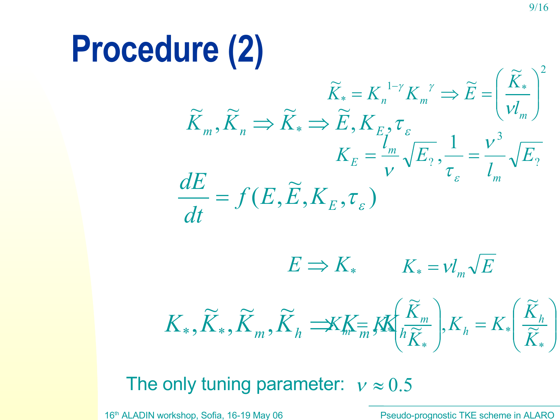#### **Procedure (2)**

$$
\widetilde{K}_{m}, \widetilde{K}_{n} \Rightarrow \widetilde{K}_{*} = K_{n}^{1-\gamma} K_{m}^{\gamma} \Rightarrow \widetilde{E} = \left(\frac{\widetilde{K}_{*}}{\nu l_{m}}\right)^{2}
$$
\n
$$
\widetilde{K}_{m}, \widetilde{K}_{n} \Rightarrow \widetilde{K}_{*} \Rightarrow \widetilde{E}, K_{E_{1}}, \tau_{\varepsilon}
$$
\n
$$
K_{E} = \frac{l_{m}}{\nu} \sqrt{E_{2}}, \frac{1}{\tau_{\varepsilon}} = \frac{\nu^{3}}{l_{m}} \sqrt{E_{2}}
$$
\n
$$
\frac{dE}{dt} = f(E, \widetilde{E}, K_{E}, \tau_{\varepsilon})
$$
\n
$$
E \Rightarrow K_{*} \qquad K_{*} = \nu l_{m} \sqrt{E}
$$
\n
$$
K_{*}, \widetilde{K}_{*}, \widetilde{K}_{m}, \widetilde{K}_{n} \Rightarrow K_{m} \equiv K_{m} \left(\frac{\widetilde{K}_{m}}{i\widetilde{K}_{*}}\right), K_{n} = K_{*} \left(\frac{\widetilde{K}_{h}}{\widetilde{K}_{*}}\right)
$$

The only tuning parameter:  $v \approx 0.5$ 

16<sup>th</sup> ALADIN workshop, Sofia, 16-19 May 06 **Pseudo-prognostic TKE scheme in ALARO**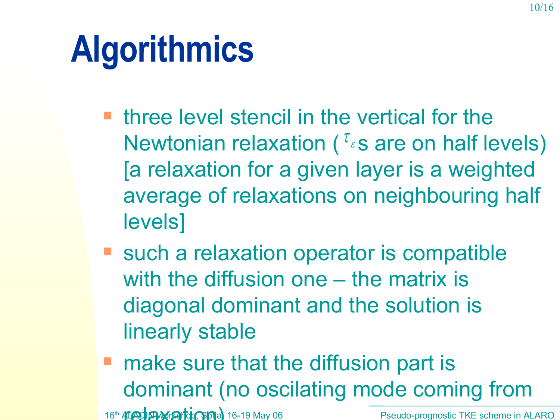# **Algorithmics**

- $\blacksquare$  three level stencil in the vertical for the Newtonian relaxation ( $\tau_s$ s are on half levels) [a relaxation for a given layer is a weighted average of relaxations on neighbouring half levels]
- such a relaxation operator is compatible with the diffusion one – the matrix is diagonal dominant and the solution is linearly stable
- 16<sup>th</sup> ALADIN Workshop, 3 16-19 May 06 Pseudo-prognostic TKE scheme in ALARO **nake sure that the diffusion part is** dominant (no oscilating mode coming from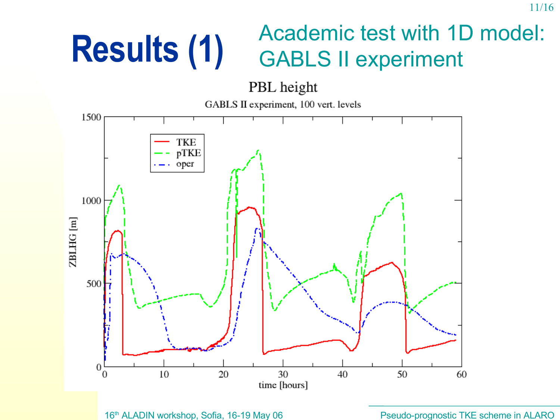#### **Results (1)** Academic test with 1D model: GABLS II experiment

PBL height

GABLS II experiment, 100 vert. levels



16th ALADIN workshop, Sofia, 16-19 May 06

Pseudo-prognostic TKE scheme in ALARO

11/16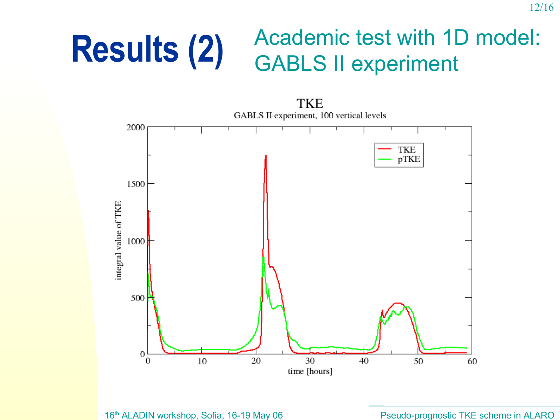#### **Results (2)** Academic test with 1D model: GABLS II experiment

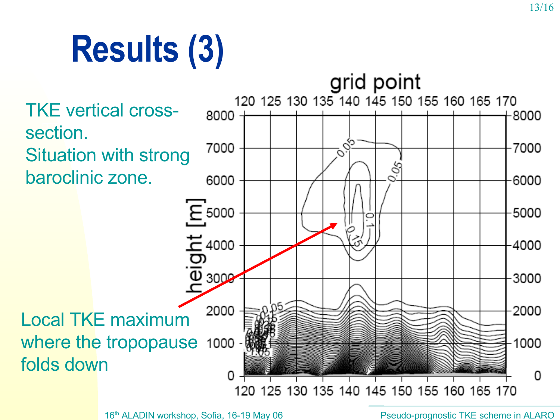# **Results (3)**



16<sup>th</sup> ALADIN workshop, Sofia, 16-19 May 06 **Pseudo-prognostic TKE scheme in ALARO** 

13/16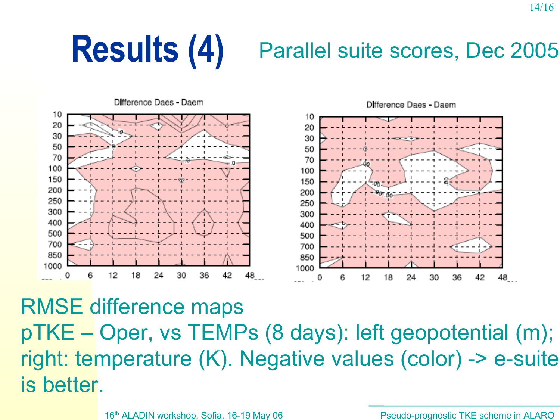#### **Results (4)** Parallel suite scores, Dec <sup>2005</sup>



RMSE difference maps pTKE – Oper, vs TEMPs (8 days): left geopotential (m); right: temperature (K). Negative values (color) -> e-suite is better.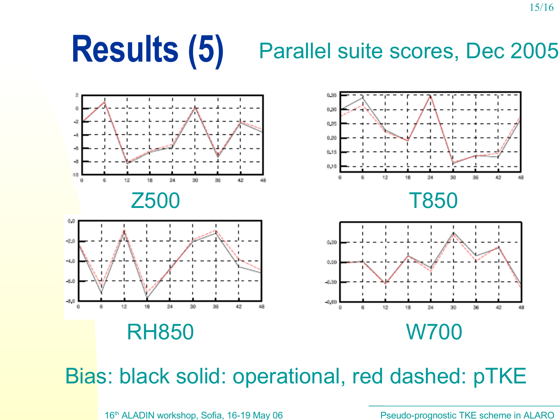### **Results (5)** Parallel suite scores, Dec <sup>2005</sup>



Bias: black solid: operational, red dashed: pTKE

16<sup>th</sup> ALADIN workshop, Sofia, 16-19 May 06 **Pseudo-prognostic TKE scheme in ALARO** 

15/16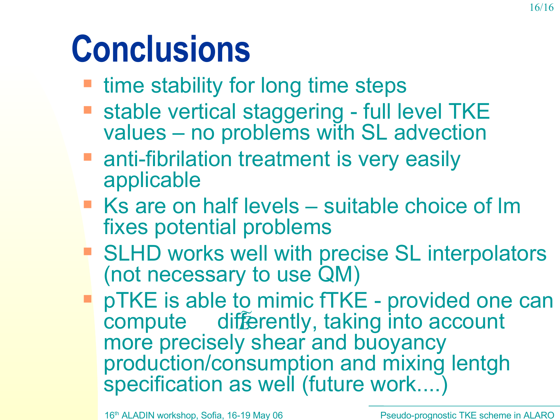# **Conclusions**

- time stability for long time steps
- **Stable vertical staggering full level TKE** values – no problems with SL advection
- **anti-fibrilation treatment is very easily** applicable
- Ks are on half levels suitable choice of Im fixes potential problems
- SLHD works well with precise SL interpolators (not necessary to use QM)
- pTKE is able to mimic fTKE provided one can compute differently, taking into account more precisely shear and buoyancy production/consumption and mixing lentgh specification as well (future work....) U<br>Fz